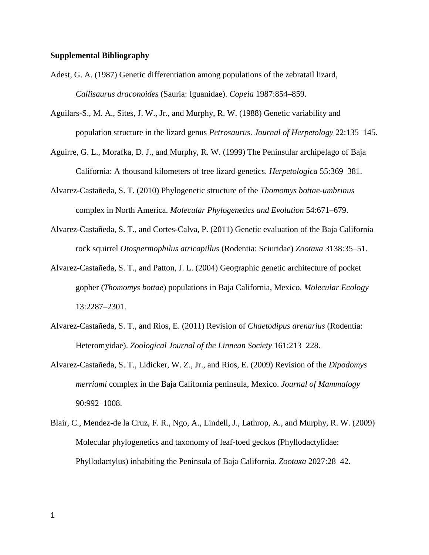## **Supplemental Bibliography**

- Adest, G. A. (1987) Genetic differentiation among populations of the zebratail lizard, *Callisaurus draconoides* (Sauria: Iguanidae). *Copeia* 1987:854–859.
- Aguilars-S., M. A., Sites, J. W., Jr., and Murphy, R. W. (1988) Genetic variability and population structure in the lizard genus *Petrosaurus*. *Journal of Herpetology* 22:135–145.
- Aguirre, G. L., Morafka, D. J., and Murphy, R. W. (1999) The Peninsular archipelago of Baja California: A thousand kilometers of tree lizard genetics. *Herpetologica* 55:369–381.
- Alvarez-Castañeda, S. T. (2010) Phylogenetic structure of the *Thomomys bottae-umbrinus*  complex in North America. *Molecular Phylogenetics and Evolution* 54:671–679.
- Alvarez-Castañeda, S. T., and Cortes-Calva, P. (2011) Genetic evaluation of the Baja California rock squirrel *Otospermophilus atricapillus* (Rodentia: Sciuridae) *Zootaxa* 3138:35–51.
- Alvarez-Castañeda, S. T., and Patton, J. L. (2004) Geographic genetic architecture of pocket gopher (*Thomomys bottae*) populations in Baja California, Mexico. *Molecular Ecology* 13:2287–2301.
- Alvarez-Castañeda, S. T., and Rios, E. (2011) Revision of *Chaetodipus arenarius* (Rodentia: Heteromyidae). *Zoological Journal of the Linnean Society* 161:213–228.
- Alvarez-Castañeda, S. T., Lidicker, W. Z., Jr., and Rios, E. (2009) Revision of the *Dipodomys merriami* complex in the Baja California peninsula, Mexico. *Journal of Mammalogy* 90:992–1008.
- Blair, C., Mendez-de la Cruz, F. R., Ngo, A., Lindell, J., Lathrop, A., and Murphy, R. W. (2009) Molecular phylogenetics and taxonomy of leaf-toed geckos (Phyllodactylidae: Phyllodactylus) inhabiting the Peninsula of Baja California. *Zootaxa* 2027:28–42.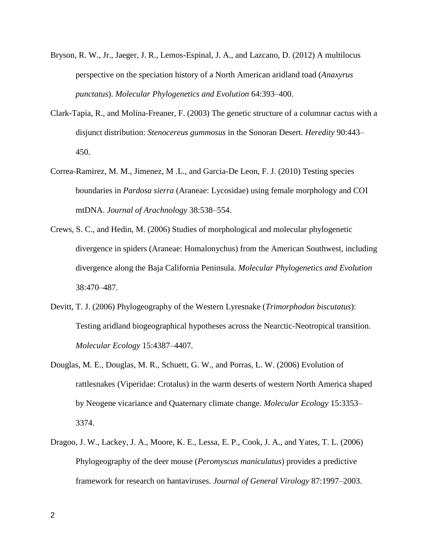- Bryson, R. W., Jr., Jaeger, J. R., Lemos-Espinal, J. A., and Lazcano, D. (2012) A multilocus perspective on the speciation history of a North American aridland toad (*Anaxyrus punctatus*). *Molecular Phylogenetics and Evolution* 64:393–400.
- Clark-Tapia, R., and Molina-Freaner, F. (2003) The genetic structure of a columnar cactus with a disjunct distribution: *Stenocereus gummosus* in the Sonoran Desert. *Heredity* 90:443– 450.
- Correa-Ramirez, M. M., Jimenez, M .L., and Garcia-De Leon, F. J. (2010) Testing species boundaries in *Pardosa sierra* (Araneae: Lycosidae) using female morphology and COI mtDNA. *Journal of Arachnology* 38:538–554.
- Crews, S. C., and Hedin, M. (2006) Studies of morphological and molecular phylogenetic divergence in spiders (Araneae: Homalonychus) from the American Southwest, including divergence along the Baja California Peninsula. *Molecular Phylogenetics and Evolution* 38:470–487.
- Devitt, T. J. (2006) Phylogeography of the Western Lyresnake (*Trimorphodon biscutatus*): Testing aridland biogeographical hypotheses across the Nearctic-Neotropical transition. *Molecular Ecology* 15:4387–4407.
- Douglas, M. E., Douglas, M. R., Schuett, G. W., and Porras, L. W. (2006) Evolution of rattlesnakes (Viperidae: Crotalus) in the warm deserts of western North America shaped by Neogene vicariance and Quaternary climate change. *Molecular Ecology* 15:3353– 3374.
- Dragoo, J. W., Lackey, J. A., Moore, K. E., Lessa, E. P., Cook, J. A., and Yates, T. L. (2006) Phylogeography of the deer mouse (*Peromyscus maniculatus*) provides a predictive framework for research on hantaviruses. *Journal of General Virology* 87:1997–2003.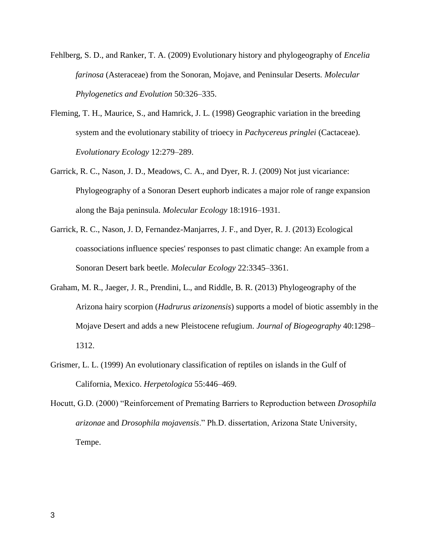- Fehlberg, S. D., and Ranker, T. A. (2009) Evolutionary history and phylogeography of *Encelia farinosa* (Asteraceae) from the Sonoran, Mojave, and Peninsular Deserts. *Molecular Phylogenetics and Evolution* 50:326–335.
- Fleming, T. H., Maurice, S., and Hamrick, J. L. (1998) Geographic variation in the breeding system and the evolutionary stability of trioecy in *Pachycereus pringlei* (Cactaceae). *Evolutionary Ecology* 12:279–289.
- Garrick, R. C., Nason, J. D., Meadows, C. A., and Dyer, R. J. (2009) Not just vicariance: Phylogeography of a Sonoran Desert euphorb indicates a major role of range expansion along the Baja peninsula. *Molecular Ecology* 18:1916–1931.
- Garrick, R. C., Nason, J. D, Fernandez-Manjarres, J. F., and Dyer, R. J. (2013) Ecological coassociations influence species' responses to past climatic change: An example from a Sonoran Desert bark beetle. *Molecular Ecology* 22:3345–3361.
- Graham, M. R., Jaeger, J. R., Prendini, L., and Riddle, B. R. (2013) Phylogeography of the Arizona hairy scorpion (*Hadrurus arizonensis*) supports a model of biotic assembly in the Mojave Desert and adds a new Pleistocene refugium. *Journal of Biogeography* 40:1298– 1312.
- Grismer, L. L. (1999) An evolutionary classification of reptiles on islands in the Gulf of California, Mexico. *Herpetologica* 55:446–469.
- Hocutt, G.D. (2000) "Reinforcement of Premating Barriers to Reproduction between *Drosophila arizonae* and *Drosophila mojavensis*." Ph.D. dissertation, Arizona State University, Tempe.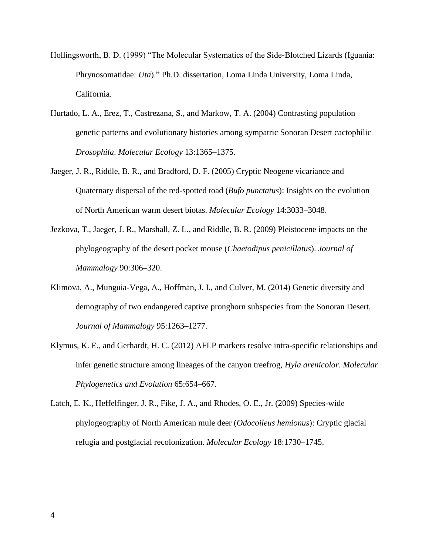- Hollingsworth, B. D. (1999) "The Molecular Systematics of the Side-Blotched Lizards (Iguania: Phrynosomatidae: *Uta*)." Ph.D. dissertation, Loma Linda University, Loma Linda, California.
- Hurtado, L. A., Erez, T., Castrezana, S., and Markow, T. A. (2004) Contrasting population genetic patterns and evolutionary histories among sympatric Sonoran Desert cactophilic *Drosophila*. *Molecular Ecology* 13:1365–1375.
- Jaeger, J. R., Riddle, B. R., and Bradford, D. F. (2005) Cryptic Neogene vicariance and Quaternary dispersal of the red-spotted toad (*Bufo punctatus*): Insights on the evolution of North American warm desert biotas. *Molecular Ecology* 14:3033–3048.
- Jezkova, T., Jaeger, J. R., Marshall, Z. L., and Riddle, B. R. (2009) Pleistocene impacts on the phylogeography of the desert pocket mouse (*Chaetodipus penicillatus*). *Journal of Mammalogy* 90:306–320.
- Klimova, A., Munguia-Vega, A., Hoffman, J. I., and Culver, M. (2014) Genetic diversity and demography of two endangered captive pronghorn subspecies from the Sonoran Desert. *Journal of Mammalogy* 95:1263–1277.
- Klymus, K. E., and Gerhardt, H. C. (2012) AFLP markers resolve intra-specific relationships and infer genetic structure among lineages of the canyon treefrog, *Hyla arenicolor*. *Molecular Phylogenetics and Evolution* 65:654–667.
- Latch, E. K., Heffelfinger, J. R., Fike, J. A., and Rhodes, O. E., Jr. (2009) Species-wide phylogeography of North American mule deer (*Odocoileus hemionus*): Cryptic glacial refugia and postglacial recolonization. *Molecular Ecology* 18:1730–1745.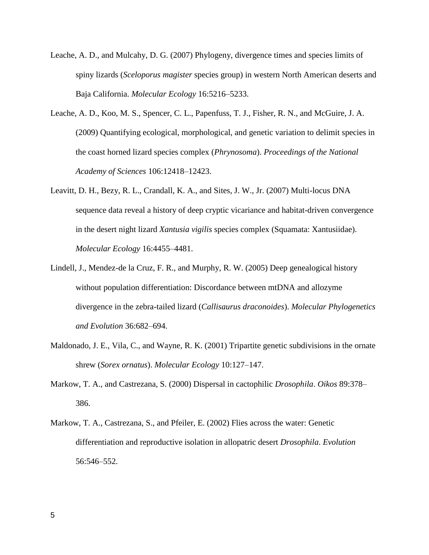- Leache, A. D., and Mulcahy, D. G. (2007) Phylogeny, divergence times and species limits of spiny lizards (*Sceloporus magister* species group) in western North American deserts and Baja California. *Molecular Ecology* 16:5216–5233.
- Leache, A. D., Koo, M. S., Spencer, C. L., Papenfuss, T. J., Fisher, R. N., and McGuire, J. A. (2009) Quantifying ecological, morphological, and genetic variation to delimit species in the coast horned lizard species complex (*Phrynosoma*). *Proceedings of the National Academy of Sciences* 106:12418–12423.
- Leavitt, D. H., Bezy, R. L., Crandall, K. A., and Sites, J. W., Jr. (2007) Multi-locus DNA sequence data reveal a history of deep cryptic vicariance and habitat-driven convergence in the desert night lizard *Xantusia vigilis* species complex (Squamata: Xantusiidae). *Molecular Ecology* 16:4455–4481.
- Lindell, J., Mendez-de la Cruz, F. R., and Murphy, R. W. (2005) Deep genealogical history without population differentiation: Discordance between mtDNA and allozyme divergence in the zebra-tailed lizard (*Callisaurus draconoides*). *Molecular Phylogenetics and Evolution* 36:682–694.
- Maldonado, J. E., Vila, C., and Wayne, R. K. (2001) Tripartite genetic subdivisions in the ornate shrew (*Sorex ornatus*). *Molecular Ecology* 10:127–147.
- Markow, T. A., and Castrezana, S. (2000) Dispersal in cactophilic *Drosophila*. *Oikos* 89:378– 386.
- Markow, T. A., Castrezana, S., and Pfeiler, E. (2002) Flies across the water: Genetic differentiation and reproductive isolation in allopatric desert *Drosophila*. *Evolution* 56:546–552.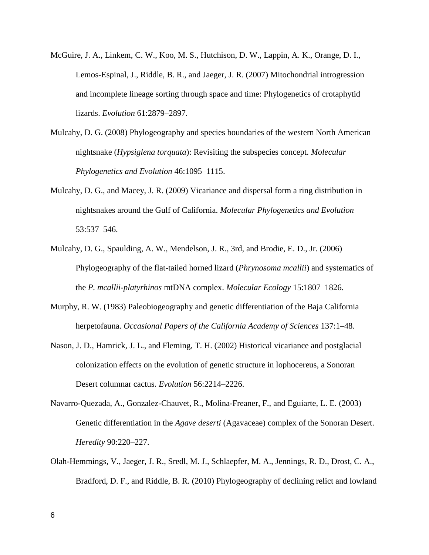- McGuire, J. A., Linkem, C. W., Koo, M. S., Hutchison, D. W., Lappin, A. K., Orange, D. I., Lemos-Espinal, J., Riddle, B. R., and Jaeger, J. R. (2007) Mitochondrial introgression and incomplete lineage sorting through space and time: Phylogenetics of crotaphytid lizards. *Evolution* 61:2879–2897.
- Mulcahy, D. G. (2008) Phylogeography and species boundaries of the western North American nightsnake (*Hypsiglena torquata*): Revisiting the subspecies concept. *Molecular Phylogenetics and Evolution* 46:1095–1115.
- Mulcahy, D. G., and Macey, J. R. (2009) Vicariance and dispersal form a ring distribution in nightsnakes around the Gulf of California. *Molecular Phylogenetics and Evolution* 53:537–546.
- Mulcahy, D. G., Spaulding, A. W., Mendelson, J. R., 3rd, and Brodie, E. D., Jr. (2006) Phylogeography of the flat-tailed horned lizard (*Phrynosoma mcallii*) and systematics of the *P. mcallii-platyrhinos* mtDNA complex. *Molecular Ecology* 15:1807–1826.
- Murphy, R. W. (1983) Paleobiogeography and genetic differentiation of the Baja California herpetofauna. *Occasional Papers of the California Academy of Sciences* 137:1–48.
- Nason, J. D., Hamrick, J. L., and Fleming, T. H. (2002) Historical vicariance and postglacial colonization effects on the evolution of genetic structure in lophocereus, a Sonoran Desert columnar cactus. *Evolution* 56:2214–2226.
- Navarro-Quezada, A., Gonzalez-Chauvet, R., Molina-Freaner, F., and Eguiarte, L. E. (2003) Genetic differentiation in the *Agave deserti* (Agavaceae) complex of the Sonoran Desert. *Heredity* 90:220–227.
- Olah-Hemmings, V., Jaeger, J. R., Sredl, M. J., Schlaepfer, M. A., Jennings, R. D., Drost, C. A., Bradford, D. F., and Riddle, B. R. (2010) Phylogeography of declining relict and lowland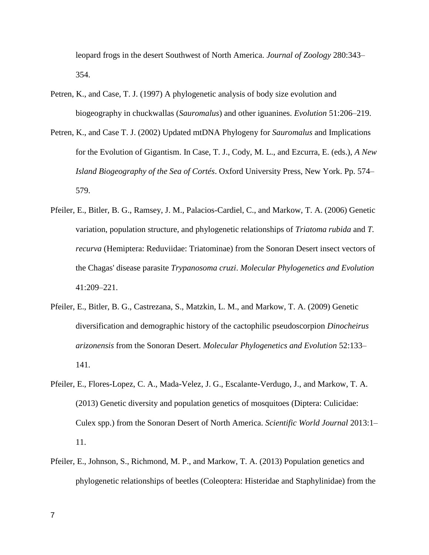leopard frogs in the desert Southwest of North America. *Journal of Zoology* 280:343– 354.

- Petren, K., and Case, T. J. (1997) A phylogenetic analysis of body size evolution and biogeography in chuckwallas (*Sauromalus*) and other iguanines. *Evolution* 51:206–219.
- Petren, K., and Case T. J. (2002) Updated mtDNA Phylogeny for *Sauromalus* and Implications for the Evolution of Gigantism. In Case, T. J., Cody, M. L., and Ezcurra, E. (eds.), *A New Island Biogeography of the Sea of Cortés*. Oxford University Press, New York. Pp. 574– 579.
- Pfeiler, E., Bitler, B. G., Ramsey, J. M., Palacios-Cardiel, C., and Markow, T. A. (2006) Genetic variation, population structure, and phylogenetic relationships of *Triatoma rubida* and *T. recurva* (Hemiptera: Reduviidae: Triatominae) from the Sonoran Desert insect vectors of the Chagas' disease parasite *Trypanosoma cruzi*. *Molecular Phylogenetics and Evolution* 41:209–221.
- Pfeiler, E., Bitler, B. G., Castrezana, S., Matzkin, L. M., and Markow, T. A. (2009) Genetic diversification and demographic history of the cactophilic pseudoscorpion *Dinocheirus arizonensis* from the Sonoran Desert. *Molecular Phylogenetics and Evolution* 52:133– 141.
- Pfeiler, E., Flores-Lopez, C. A., Mada-Velez, J. G., Escalante-Verdugo, J., and Markow, T. A. (2013) Genetic diversity and population genetics of mosquitoes (Diptera: Culicidae: Culex spp.) from the Sonoran Desert of North America. *Scientific World Journal* 2013:1– 11.
- Pfeiler, E., Johnson, S., Richmond, M. P., and Markow, T. A. (2013) Population genetics and phylogenetic relationships of beetles (Coleoptera: Histeridae and Staphylinidae) from the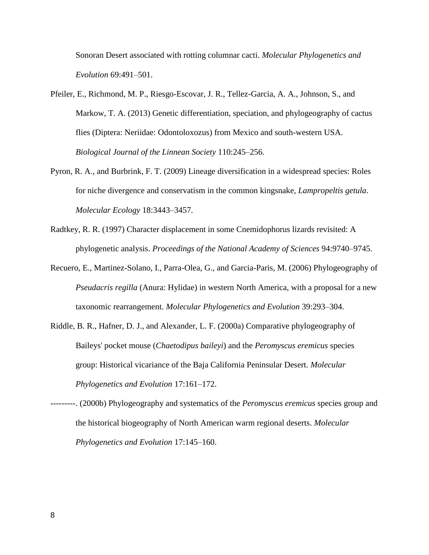Sonoran Desert associated with rotting columnar cacti. *Molecular Phylogenetics and Evolution* 69:491–501.

- Pfeiler, E., Richmond, M. P., Riesgo-Escovar, J. R., Tellez-Garcia, A. A., Johnson, S., and Markow, T. A. (2013) Genetic differentiation, speciation, and phylogeography of cactus flies (Diptera: Neriidae: Odontoloxozus) from Mexico and south-western USA. *Biological Journal of the Linnean Society* 110:245–256.
- Pyron, R. A., and Burbrink, F. T. (2009) Lineage diversification in a widespread species: Roles for niche divergence and conservatism in the common kingsnake, *Lampropeltis getula*. *Molecular Ecology* 18:3443–3457.
- Radtkey, R. R. (1997) Character displacement in some Cnemidophorus lizards revisited: A phylogenetic analysis. *Proceedings of the National Academy of Sciences* 94:9740–9745.
- Recuero, E., Martinez-Solano, I., Parra-Olea, G., and Garcia-Paris, M. (2006) Phylogeography of *Pseudacris regilla* (Anura: Hylidae) in western North America, with a proposal for a new taxonomic rearrangement. *Molecular Phylogenetics and Evolution* 39:293–304.
- Riddle, B. R., Hafner, D. J., and Alexander, L. F. (2000a) Comparative phylogeography of Baileys' pocket mouse (*Chaetodipus baileyi*) and the *Peromyscus eremicus* species group: Historical vicariance of the Baja California Peninsular Desert. *Molecular Phylogenetics and Evolution* 17:161–172.
- ---------. (2000b) Phylogeography and systematics of the *Peromyscus eremicus* species group and the historical biogeography of North American warm regional deserts. *Molecular Phylogenetics and Evolution* 17:145–160.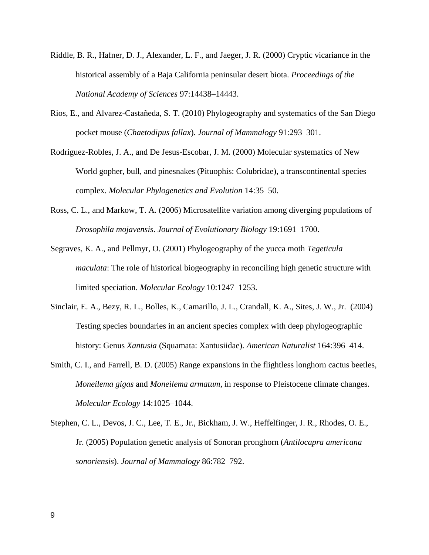- Riddle, B. R., Hafner, D. J., Alexander, L. F., and Jaeger, J. R. (2000) Cryptic vicariance in the historical assembly of a Baja California peninsular desert biota. *Proceedings of the National Academy of Sciences* 97:14438–14443.
- Rios, E., and Alvarez-Castañeda, S. T. (2010) Phylogeography and systematics of the San Diego pocket mouse (*Chaetodipus fallax*). *Journal of Mammalogy* 91:293–301.
- Rodriguez-Robles, J. A., and De Jesus-Escobar, J. M. (2000) Molecular systematics of New World gopher, bull, and pinesnakes (Pituophis: Colubridae), a transcontinental species complex. *Molecular Phylogenetics and Evolution* 14:35–50.
- Ross, C. L., and Markow, T. A. (2006) Microsatellite variation among diverging populations of *Drosophila mojavensis*. *Journal of Evolutionary Biology* 19:1691–1700.
- Segraves, K. A., and Pellmyr, O. (2001) Phylogeography of the yucca moth *Tegeticula maculata*: The role of historical biogeography in reconciling high genetic structure with limited speciation. *Molecular Ecology* 10:1247–1253.
- Sinclair, E. A., Bezy, R. L., Bolles, K., Camarillo, J. L., Crandall, K. A., Sites, J. W., Jr. (2004) Testing species boundaries in an ancient species complex with deep phylogeographic history: Genus *Xantusia* (Squamata: Xantusiidae). *American Naturalist* 164:396–414.
- Smith, C. I., and Farrell, B. D. (2005) Range expansions in the flightless longhorn cactus beetles, *Moneilema gigas* and *Moneilema armatum*, in response to Pleistocene climate changes. *Molecular Ecology* 14:1025–1044.
- Stephen, C. L., Devos, J. C., Lee, T. E., Jr., Bickham, J. W., Heffelfinger, J. R., Rhodes, O. E., Jr. (2005) Population genetic analysis of Sonoran pronghorn (*Antilocapra americana sonoriensis*). *Journal of Mammalogy* 86:782–792.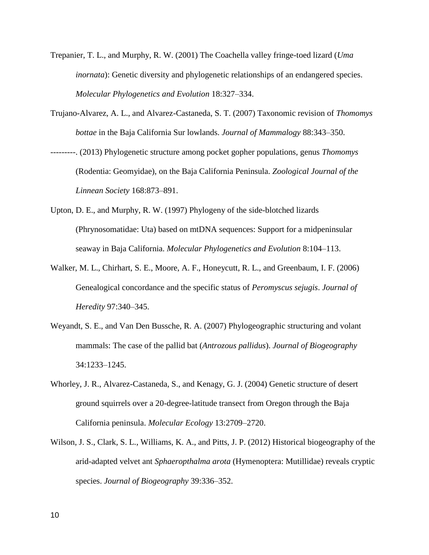- Trepanier, T. L., and Murphy, R. W. (2001) The Coachella valley fringe-toed lizard (*Uma inornata*): Genetic diversity and phylogenetic relationships of an endangered species. *Molecular Phylogenetics and Evolution* 18:327–334.
- Trujano-Alvarez, A. L., and Alvarez-Castaneda, S. T. (2007) Taxonomic revision of *Thomomys bottae* in the Baja California Sur lowlands. *Journal of Mammalogy* 88:343–350.
- ---------. (2013) Phylogenetic structure among pocket gopher populations, genus *Thomomys* (Rodentia: Geomyidae), on the Baja California Peninsula. *Zoological Journal of the Linnean Society* 168:873–891.
- Upton, D. E., and Murphy, R. W. (1997) Phylogeny of the side-blotched lizards (Phrynosomatidae: Uta) based on mtDNA sequences: Support for a midpeninsular seaway in Baja California. *Molecular Phylogenetics and Evolution* 8:104–113.
- Walker, M. L., Chirhart, S. E., Moore, A. F., Honeycutt, R. L., and Greenbaum, I. F. (2006) Genealogical concordance and the specific status of *Peromyscus sejugis*. *Journal of Heredity* 97:340–345.
- Weyandt, S. E., and Van Den Bussche, R. A. (2007) Phylogeographic structuring and volant mammals: The case of the pallid bat (*Antrozous pallidus*). *Journal of Biogeography* 34:1233–1245.
- Whorley, J. R., Alvarez-Castaneda, S., and Kenagy, G. J. (2004) Genetic structure of desert ground squirrels over a 20-degree-latitude transect from Oregon through the Baja California peninsula. *Molecular Ecology* 13:2709–2720.
- Wilson, J. S., Clark, S. L., Williams, K. A., and Pitts, J. P. (2012) Historical biogeography of the arid-adapted velvet ant *Sphaeropthalma arota* (Hymenoptera: Mutillidae) reveals cryptic species. *Journal of Biogeography* 39:336–352.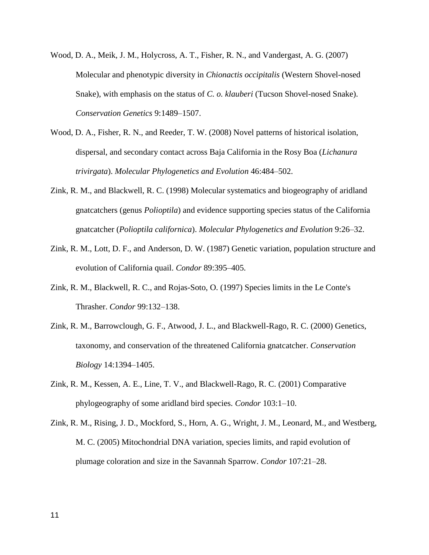- Wood, D. A., Meik, J. M., Holycross, A. T., Fisher, R. N., and Vandergast, A. G. (2007) Molecular and phenotypic diversity in *Chionactis occipitalis* (Western Shovel-nosed Snake), with emphasis on the status of *C. o. klauberi* (Tucson Shovel-nosed Snake). *Conservation Genetics* 9:1489–1507.
- Wood, D. A., Fisher, R. N., and Reeder, T. W. (2008) Novel patterns of historical isolation, dispersal, and secondary contact across Baja California in the Rosy Boa (*Lichanura trivirgata*). *Molecular Phylogenetics and Evolution* 46:484–502.
- Zink, R. M., and Blackwell, R. C. (1998) Molecular systematics and biogeography of aridland gnatcatchers (genus *Polioptila*) and evidence supporting species status of the California gnatcatcher (*Polioptila californica*). *Molecular Phylogenetics and Evolution* 9:26–32.
- Zink, R. M., Lott, D. F., and Anderson, D. W. (1987) Genetic variation, population structure and evolution of California quail. *Condor* 89:395–405.
- Zink, R. M., Blackwell, R. C., and Rojas-Soto, O. (1997) Species limits in the Le Conte's Thrasher. *Condor* 99:132–138.
- Zink, R. M., Barrowclough, G. F., Atwood, J. L., and Blackwell-Rago, R. C. (2000) Genetics, taxonomy, and conservation of the threatened California gnatcatcher. *Conservation Biology* 14:1394–1405.
- Zink, R. M., Kessen, A. E., Line, T. V., and Blackwell-Rago, R. C. (2001) Comparative phylogeography of some aridland bird species. *Condor* 103:1–10.
- Zink, R. M., Rising, J. D., Mockford, S., Horn, A. G., Wright, J. M., Leonard, M., and Westberg, M. C. (2005) Mitochondrial DNA variation, species limits, and rapid evolution of plumage coloration and size in the Savannah Sparrow. *Condor* 107:21–28.